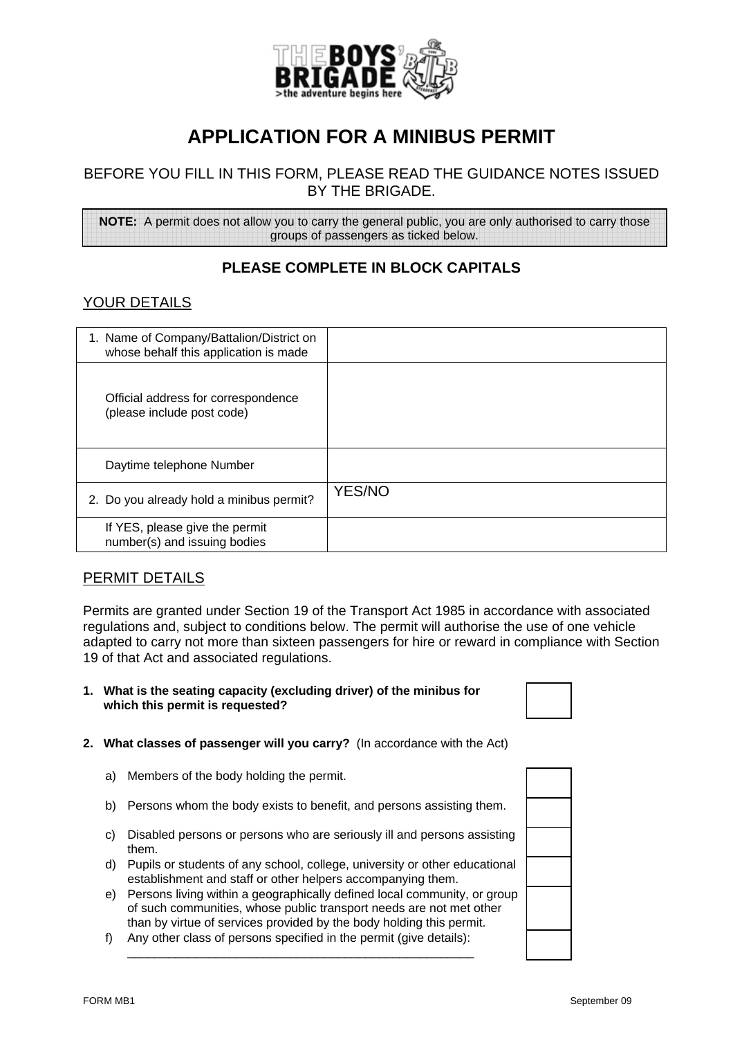

# **APPLICATION FOR A MINIBUS PERMIT**

## BEFORE YOU FILL IN THIS FORM, PLEASE READ THE GUIDANCE NOTES ISSUED BY THE BRIGADE.

**NOTE:** A permit does not allow you to carry the general public, you are only authorised to carry those groups of passengers as ticked below.

## **PLEASE COMPLETE IN BLOCK CAPITALS**

## YOUR DETAILS

| 1. Name of Company/Battalion/District on<br>whose behalf this application is made |               |
|-----------------------------------------------------------------------------------|---------------|
| Official address for correspondence<br>(please include post code)                 |               |
| Daytime telephone Number                                                          |               |
| 2. Do you already hold a minibus permit?                                          | <b>YES/NO</b> |
| If YES, please give the permit<br>number(s) and issuing bodies                    |               |

## PERMIT DETAILS

Permits are granted under Section 19 of the Transport Act 1985 in accordance with associated regulations and, subject to conditions below. The permit will authorise the use of one vehicle adapted to carry not more than sixteen passengers for hire or reward in compliance with Section 19 of that Act and associated regulations.

**1. What is the seating capacity (excluding driver) of the minibus for which this permit is requested?** 



- a) Members of the body holding the permit.
- b) Persons whom the body exists to benefit, and persons assisting them.
- c) Disabled persons or persons who are seriously ill and persons assisting them.
- d) Pupils or students of any school, college, university or other educational establishment and staff or other helpers accompanying them.
- e) Persons living within a geographically defined local community, or group of such communities, whose public transport needs are not met other than by virtue of services provided by the body holding this permit.
- f) Any other class of persons specified in the permit (give details):

\_\_\_\_\_\_\_\_\_\_\_\_\_\_\_\_\_\_\_\_\_\_\_\_\_\_\_\_\_\_\_\_\_\_\_\_\_\_\_\_\_\_\_\_\_\_\_\_\_\_\_